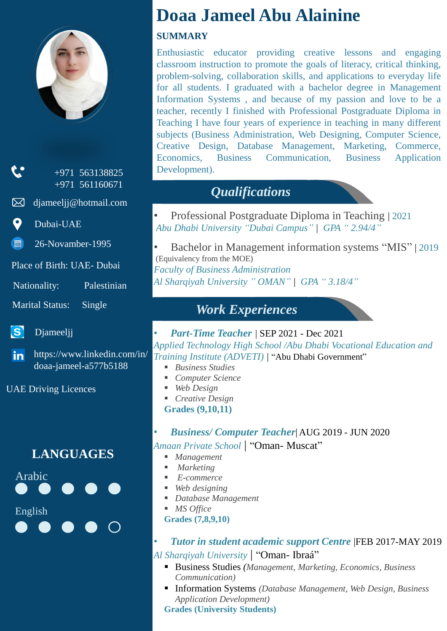

+971 563138825 +971 561160671

djameeljj@hotmail.com ⊠ ∶

Dubai-UAE

26-Novamber-1995 ■

Place of Birth: UAE- Dubai

Nationality: Palestinian

Marital Status: Single

 $\mathbf{S}$ Djameeljj

https://www.linkedin.com/in/ in l doaa-jameel-a577b5188

UAE Driving Licences

### **LANGUAGES**



# **Doaa Jameel Abu Alainine**

#### **SUMMARY**

Enthusiastic educator providing creative lessons and engaging classroom instruction to promote the goals of literacy, critical thinking, problem-solving, collaboration skills, and applications to everyday life for all students. I graduated with a bachelor degree in Management Information Systems , and because of my passion and love to be a teacher, recently I finished with Professional Postgraduate Diploma in Teaching I have four years of experience in teaching in many different subjects (Business Administration, Web Designing, Computer Science, Creative Design, Database Management, Marketing, Commerce, Economics, Business Communication, Business Application Development).

## *Qualifications*

• Professional Postgraduate Diploma in Teaching | 2021 *Abu Dhabi University "Dubai Campus" | GPA " 2.94/4"*

• Bachelor in Management information systems "MIS" | 2019 (Equivalency from the MOE) *Faculty of Business Administration Al Sharqiyah University " OMAN" | GPA " 3.18/4"*

### *Work Experiences*

- *Part-Time Teacher* | SEP 2021 Dec 2021 *Applied Technology High School /Abu Dhabi Vocational Education and Training Institute (ADVETI) |* "Abu Dhabi Government"
	- *Business Studies*
	- *Computer Science*
	- *Web Design*
	- *Creative Design* **Grades (9,10,11)**
- *Business/ Computer Teacher*| AUG 2019 JUN 2020 *Amaan Private School |* "Oman- Muscat"
	-
	- *Management* ■ *Marketing*
	- *E-commerce*
	- *Web designing*
	- *Database Management*
	- *MS Office*
	- **Grades (7,8,9,10)**
- *Tutor in student academic support Centre* |FEB 2017-MAY 2019 *Al Sharqiyah University |* "Oman- Ibraá"
	- Business Studies *(Management, Marketing, Economics, Business Communication)*
	- Information Systems *(Database Management, Web Design, Business Application Development)*

**Grades (University Students)**